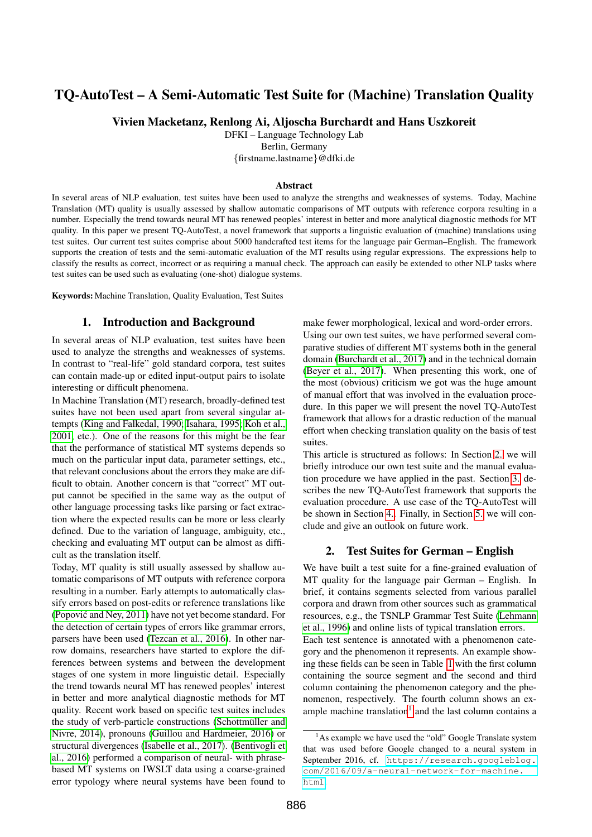# TQ-AutoTest – A Semi-Automatic Test Suite for (Machine) Translation Quality

Vivien Macketanz, Renlong Ai, Aljoscha Burchardt and Hans Uszkoreit

DFKI – Language Technology Lab

Berlin, Germany

{firstname.lastname}@dfki.de

#### Abstract

In several areas of NLP evaluation, test suites have been used to analyze the strengths and weaknesses of systems. Today, Machine Translation (MT) quality is usually assessed by shallow automatic comparisons of MT outputs with reference corpora resulting in a number. Especially the trend towards neural MT has renewed peoples' interest in better and more analytical diagnostic methods for MT quality. In this paper we present TQ-AutoTest, a novel framework that supports a linguistic evaluation of (machine) translations using test suites. Our current test suites comprise about 5000 handcrafted test items for the language pair German–English. The framework supports the creation of tests and the semi-automatic evaluation of the MT results using regular expressions. The expressions help to classify the results as correct, incorrect or as requiring a manual check. The approach can easily be extended to other NLP tasks where test suites can be used such as evaluating (one-shot) dialogue systems.

Keywords: Machine Translation, Quality Evaluation, Test Suites

# 1. Introduction and Background

In several areas of NLP evaluation, test suites have been used to analyze the strengths and weaknesses of systems. In contrast to "real-life" gold standard corpora, test suites can contain made-up or edited input-output pairs to isolate interesting or difficult phenomena.

In Machine Translation (MT) research, broadly-defined test suites have not been used apart from several singular attempts [\(King and Falkedal, 1990;](#page-6-0) [Isahara, 1995;](#page-6-1) [Koh et al.,](#page-6-2) [2001,](#page-6-2) etc.). One of the reasons for this might be the fear that the performance of statistical MT systems depends so much on the particular input data, parameter settings, etc., that relevant conclusions about the errors they make are difficult to obtain. Another concern is that "correct" MT output cannot be specified in the same way as the output of other language processing tasks like parsing or fact extraction where the expected results can be more or less clearly defined. Due to the variation of language, ambiguity, etc., checking and evaluating MT output can be almost as difficult as the translation itself.

Today, MT quality is still usually assessed by shallow automatic comparisons of MT outputs with reference corpora resulting in a number. Early attempts to automatically classify errors based on post-edits or reference translations like [\(Popovic and Ney, 2011\)](#page-6-3) have not yet become standard. For ´ the detection of certain types of errors like grammar errors, parsers have been used [\(Tezcan et al., 2016\)](#page-6-4). In other narrow domains, researchers have started to explore the differences between systems and between the development stages of one system in more linguistic detail. Especially the trend towards neural MT has renewed peoples' interest in better and more analytical diagnostic methods for MT quality. Recent work based on specific test suites includes the study of verb-particle constructions (Schottmüller and [Nivre, 2014\)](#page-6-5), pronouns [\(Guillou and Hardmeier, 2016\)](#page-5-0) or structural divergences [\(Isabelle et al., 2017\)](#page-6-6). [\(Bentivogli et](#page-5-1) [al., 2016\)](#page-5-1) performed a comparison of neural- with phrasebased MT systems on IWSLT data using a coarse-grained error typology where neural systems have been found to make fewer morphological, lexical and word-order errors. Using our own test suites, we have performed several comparative studies of different MT systems both in the general domain [\(Burchardt et al., 2017\)](#page-5-2) and in the technical domain [\(Beyer et al., 2017\)](#page-5-3). When presenting this work, one of the most (obvious) criticism we got was the huge amount of manual effort that was involved in the evaluation procedure. In this paper we will present the novel TQ-AutoTest framework that allows for a drastic reduction of the manual effort when checking translation quality on the basis of test suites.

This article is structured as follows: In Section [2.](#page-0-0) we will briefly introduce our own test suite and the manual evaluation procedure we have applied in the past. Section [3.](#page-1-0) describes the new TQ-AutoTest framework that supports the evaluation procedure. A use case of the TQ-AutoTest will be shown in Section [4..](#page-4-0) Finally, in Section [5.](#page-4-1) we will conclude and give an outlook on future work.

#### 2. Test Suites for German – English

<span id="page-0-0"></span>We have built a test suite for a fine-grained evaluation of MT quality for the language pair German – English. In brief, it contains segments selected from various parallel corpora and drawn from other sources such as grammatical resources, e.g., the TSNLP Grammar Test Suite [\(Lehmann](#page-6-7) [et al., 1996\)](#page-6-7) and online lists of typical translation errors. Each test sentence is annotated with a phenomenon category and the phenomenon it represents. An example showing these fields can be seen in Table [1](#page-2-0) with the first column containing the source segment and the second and third column containing the phenomenon category and the phenomenon, respectively. The fourth column shows an ex-ample machine translation<sup>[1](#page-0-1)</sup> and the last column contains a

<span id="page-0-1"></span><sup>&</sup>lt;sup>1</sup>As example we have used the "old" Google Translate system that was used before Google changed to a neural system in September 2016, cf. [https://research.googleblog.](https://research.googleblog.com/2016/09/a-neural-network-for-machine.html) [com/2016/09/a-neural-network-for-machine.](https://research.googleblog.com/2016/09/a-neural-network-for-machine.html) [html](https://research.googleblog.com/2016/09/a-neural-network-for-machine.html).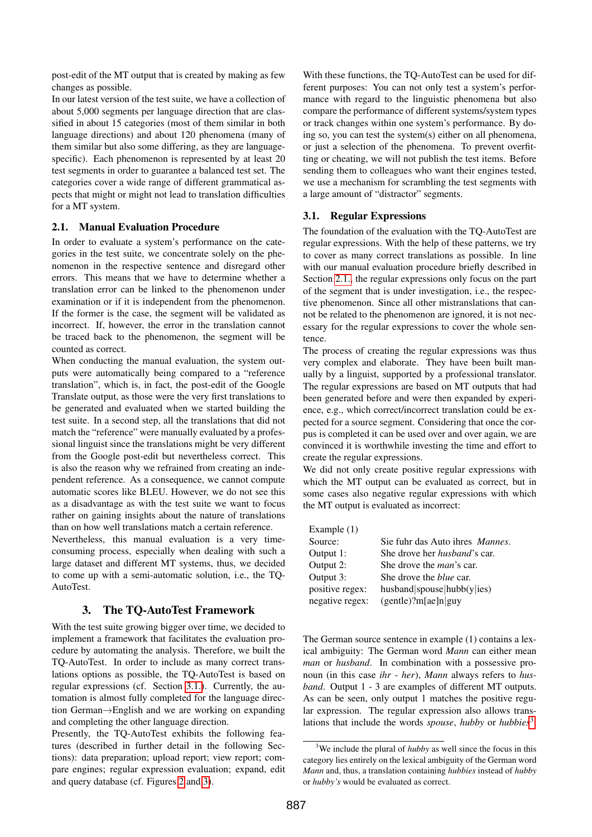post-edit of the MT output that is created by making as few changes as possible.

In our latest version of the test suite, we have a collection of about 5,000 segments per language direction that are classified in about 15 categories (most of them similar in both language directions) and about 120 phenomena (many of them similar but also some differing, as they are languagespecific). Each phenomenon is represented by at least 20 test segments in order to guarantee a balanced test set. The categories cover a wide range of different grammatical aspects that might or might not lead to translation difficulties for a MT system.

#### <span id="page-1-2"></span>2.1. Manual Evaluation Procedure

In order to evaluate a system's performance on the categories in the test suite, we concentrate solely on the phenomenon in the respective sentence and disregard other errors. This means that we have to determine whether a translation error can be linked to the phenomenon under examination or if it is independent from the phenomenon. If the former is the case, the segment will be validated as incorrect. If, however, the error in the translation cannot be traced back to the phenomenon, the segment will be counted as correct.

When conducting the manual evaluation, the system outputs were automatically being compared to a "reference translation", which is, in fact, the post-edit of the Google Translate output, as those were the very first translations to be generated and evaluated when we started building the test suite. In a second step, all the translations that did not match the "reference" were manually evaluated by a professional linguist since the translations might be very different from the Google post-edit but nevertheless correct. This is also the reason why we refrained from creating an independent reference. As a consequence, we cannot compute automatic scores like BLEU. However, we do not see this as a disadvantage as with the test suite we want to focus rather on gaining insights about the nature of translations than on how well translations match a certain reference.

Nevertheless, this manual evaluation is a very timeconsuming process, especially when dealing with such a large dataset and different MT systems, thus, we decided to come up with a semi-automatic solution, i.e., the TQ-AutoTest.

# 3. The TQ-AutoTest Framework

<span id="page-1-0"></span>With the test suite growing bigger over time, we decided to implement a framework that facilitates the evaluation procedure by automating the analysis. Therefore, we built the TQ-AutoTest. In order to include as many correct translations options as possible, the TQ-AutoTest is based on regular expressions (cf. Section [3.1.\)](#page-1-1). Currently, the automation is almost fully completed for the language direction German→English and we are working on expanding and completing the other language direction.

Presently, the TQ-AutoTest exhibits the following features (described in further detail in the following Sections): data preparation; upload report; view report; compare engines; regular expression evaluation; expand, edit and query database (cf. Figures [2](#page-3-0) and [3\)](#page-3-1).

With these functions, the TQ-AutoTest can be used for different purposes: You can not only test a system's performance with regard to the linguistic phenomena but also compare the performance of different systems/system types or track changes within one system's performance. By doing so, you can test the system(s) either on all phenomena, or just a selection of the phenomena. To prevent overfitting or cheating, we will not publish the test items. Before sending them to colleagues who want their engines tested, we use a mechanism for scrambling the test segments with a large amount of "distractor" segments.

## <span id="page-1-1"></span>3.1. Regular Expressions

The foundation of the evaluation with the TQ-AutoTest are regular expressions. With the help of these patterns, we try to cover as many correct translations as possible. In line with our manual evaluation procedure briefly described in Section [2.1.,](#page-1-2) the regular expressions only focus on the part of the segment that is under investigation, i.e., the respective phenomenon. Since all other mistranslations that cannot be related to the phenomenon are ignored, it is not necessary for the regular expressions to cover the whole sentence.

The process of creating the regular expressions was thus very complex and elaborate. They have been built manually by a linguist, supported by a professional translator. The regular expressions are based on MT outputs that had been generated before and were then expanded by experience, e.g., which correct/incorrect translation could be expected for a source segment. Considering that once the corpus is completed it can be used over and over again, we are convinced it is worthwhile investing the time and effort to create the regular expressions.

We did not only create positive regular expressions with which the MT output can be evaluated as correct, but in some cases also negative regular expressions with which the MT output is evaluated as incorrect:

Example (1)

| Source:         | Sie fuhr das Auto ihres <i>Mannes</i> . |
|-----------------|-----------------------------------------|
| Output 1:       | She drove her <i>husband</i> 's car.    |
| Output 2:       | She drove the <i>man</i> 's car.        |
| Output 3:       | She drove the <i>blue</i> car.          |
| positive regex: | husband spouse hubb(y ies)              |
| negative regex: | $(gentle)$ ?m[ae]n guy                  |
|                 |                                         |

The German source sentence in example (1) contains a lexical ambiguity: The German word *Mann* can either mean *man* or *husband*. In combination with a possessive pronoun (in this case *ihr* - *her*), *Mann* always refers to *husband*. Output 1 - 3 are examples of different MT outputs. As can be seen, only output 1 matches the positive regular expression. The regular expression also allows translations that include the words *spouse*, *hubby* or *hubbies*[3](#page-1-3) .

<span id="page-1-3"></span><sup>3</sup>We include the plural of *hubby* as well since the focus in this category lies entirely on the lexical ambiguity of the German word *Mann* and, thus, a translation containing *hubbies* instead of *hubby* or *hubby's* would be evaluated as correct.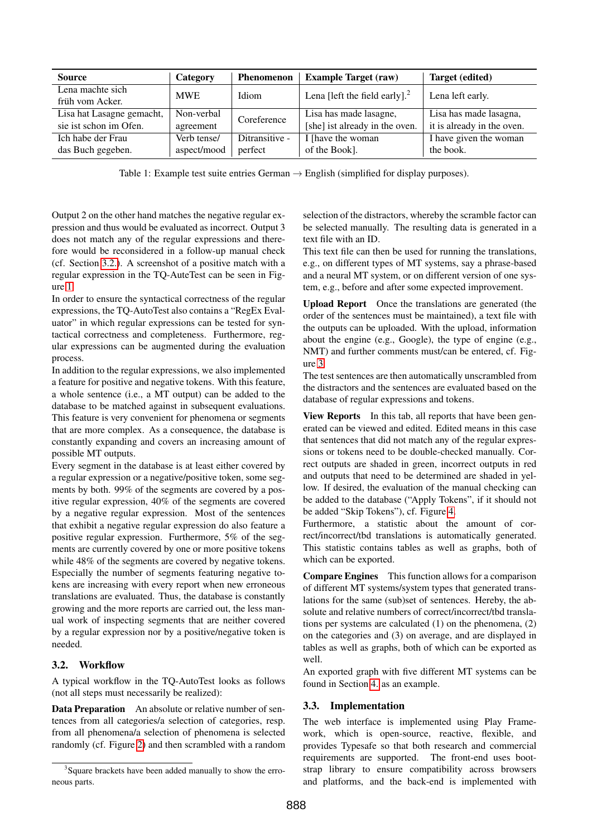| <b>Source</b>             | Category    | <b>Phenomenon</b> | <b>Example Target (raw)</b>      | <b>Target (edited)</b>     |  |
|---------------------------|-------------|-------------------|----------------------------------|----------------------------|--|
| Lena machte sich          | <b>MWE</b>  | Idiom             | Lena [left the field early]. $2$ | Lena left early.           |  |
| früh vom Acker.           |             |                   |                                  |                            |  |
| Lisa hat Lasagne gemacht, | Non-verbal  | Coreference       | Lisa has made lasagne,           | Lisa has made lasagna,     |  |
| sie ist schon im Ofen.    | agreement   |                   | [she] ist already in the oven.   | it is already in the oven. |  |
| Ich habe der Frau         | Verb tense/ | Ditransitive -    | I [have the woman]               | I have given the woman     |  |
| das Buch gegeben.         | aspect/mood | perfect           | of the Book].                    | the book.                  |  |

<span id="page-2-0"></span>Table 1: Example test suite entries German  $\rightarrow$  English (simplified for display purposes).

Output 2 on the other hand matches the negative regular expression and thus would be evaluated as incorrect. Output 3 does not match any of the regular expressions and therefore would be reconsidered in a follow-up manual check (cf. Section [3.2.\)](#page-2-1). A screenshot of a positive match with a regular expression in the TQ-AuteTest can be seen in Figure [1.](#page-3-2)

In order to ensure the syntactical correctness of the regular expressions, the TQ-AutoTest also contains a "RegEx Evaluator" in which regular expressions can be tested for syntactical correctness and completeness. Furthermore, regular expressions can be augmented during the evaluation process.

In addition to the regular expressions, we also implemented a feature for positive and negative tokens. With this feature, a whole sentence (i.e., a MT output) can be added to the database to be matched against in subsequent evaluations. This feature is very convenient for phenomena or segments that are more complex. As a consequence, the database is constantly expanding and covers an increasing amount of possible MT outputs.

Every segment in the database is at least either covered by a regular expression or a negative/positive token, some segments by both. 99% of the segments are covered by a positive regular expression, 40% of the segments are covered by a negative regular expression. Most of the sentences that exhibit a negative regular expression do also feature a positive regular expression. Furthermore, 5% of the segments are currently covered by one or more positive tokens while 48% of the segments are covered by negative tokens. Especially the number of segments featuring negative tokens are increasing with every report when new erroneous translations are evaluated. Thus, the database is constantly growing and the more reports are carried out, the less manual work of inspecting segments that are neither covered by a regular expression nor by a positive/negative token is needed.

# <span id="page-2-1"></span>3.2. Workflow

A typical workflow in the TQ-AutoTest looks as follows (not all steps must necessarily be realized):

Data Preparation An absolute or relative number of sentences from all categories/a selection of categories, resp. from all phenomena/a selection of phenomena is selected randomly (cf. Figure [2\)](#page-3-0) and then scrambled with a random

selection of the distractors, whereby the scramble factor can be selected manually. The resulting data is generated in a text file with an ID.

This text file can then be used for running the translations, e.g., on different types of MT systems, say a phrase-based and a neural MT system, or on different version of one system, e.g., before and after some expected improvement.

Upload Report Once the translations are generated (the order of the sentences must be maintained), a text file with the outputs can be uploaded. With the upload, information about the engine (e.g., Google), the type of engine (e.g., NMT) and further comments must/can be entered, cf. Figure [3.](#page-3-1)

The test sentences are then automatically unscrambled from the distractors and the sentences are evaluated based on the database of regular expressions and tokens.

View Reports In this tab, all reports that have been generated can be viewed and edited. Edited means in this case that sentences that did not match any of the regular expressions or tokens need to be double-checked manually. Correct outputs are shaded in green, incorrect outputs in red and outputs that need to be determined are shaded in yellow. If desired, the evaluation of the manual checking can be added to the database ("Apply Tokens", if it should not be added "Skip Tokens"), cf. Figure [4.](#page-3-3)

Furthermore, a statistic about the amount of correct/incorrect/tbd translations is automatically generated. This statistic contains tables as well as graphs, both of which can be exported.

Compare Engines This function allows for a comparison of different MT systems/system types that generated translations for the same (sub)set of sentences. Hereby, the absolute and relative numbers of correct/incorrect/tbd translations per systems are calculated (1) on the phenomena, (2) on the categories and (3) on average, and are displayed in tables as well as graphs, both of which can be exported as well.

An exported graph with five different MT systems can be found in Section [4.](#page-4-0) as an example.

#### 3.3. Implementation

The web interface is implemented using Play Framework, which is open-source, reactive, flexible, and provides Typesafe so that both research and commercial requirements are supported. The front-end uses bootstrap library to ensure compatibility across browsers and platforms, and the back-end is implemented with

<sup>&</sup>lt;sup>3</sup>Square brackets have been added manually to show the erroneous parts.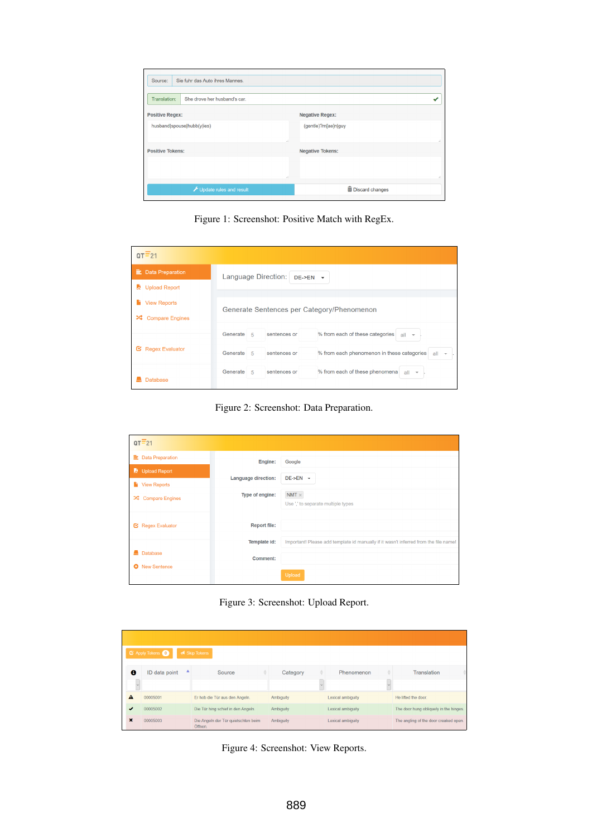| Sie fuhr das Auto ihres Mannes.<br>Source:   |                           |
|----------------------------------------------|---------------------------|
| Translation:<br>She drove her husband's car. |                           |
| <b>Positive Regex:</b>                       | <b>Negative Regex:</b>    |
| husband spouse hubb(y ies)                   | (gentle)?m[ae]n guy<br>d. |
| <b>Positive Tokens:</b>                      | <b>Negative Tokens:</b>   |
|                                              | a1                        |
| Update rules and result                      | <b>m</b> Discard changes  |

<span id="page-3-2"></span>Figure 1: Screenshot: Positive Match with RegEx.

| $QT=21$                                                 |                                                                                                                |  |  |  |
|---------------------------------------------------------|----------------------------------------------------------------------------------------------------------------|--|--|--|
| <b>三</b> Data Preparation<br><b>Upload Report</b><br>L. | Language Direction:<br>$DE->EN$ $\rightarrow$                                                                  |  |  |  |
| <b>View Reports</b>                                     | Generate Sentences per Category/Phenomenon                                                                     |  |  |  |
| ∞<br><b>Compare Engines</b>                             | % from each of these categories<br>Generate<br>sentences or<br>-5<br>all<br>$\rightarrow$                      |  |  |  |
| <b>Regex Evaluator</b><br>ఆ                             | % from each phenomenon in these categories<br>Generate<br>sentences or<br>-5<br>all<br>$\overline{\mathbf{v}}$ |  |  |  |
| <b>Database</b>                                         | Generate<br>% from each of these phenomena<br>sentences or<br>-5<br>$all -+$                                   |  |  |  |

<span id="page-3-0"></span>Figure 2: Screenshot: Data Preparation.

| $QT = 21$                   |                            |                                                                                      |  |  |  |
|-----------------------------|----------------------------|--------------------------------------------------------------------------------------|--|--|--|
| <b>三</b> Data Preparation   | Engine:                    | Google                                                                               |  |  |  |
| Upload Report               | <b>Language direction:</b> | $DE->EN$ $\rightarrow$                                                               |  |  |  |
| <b>New Reports</b>          | Type of engine:            | $NMT \times$                                                                         |  |  |  |
| ∞<br><b>Compare Engines</b> |                            | Use ',' to separate multiple types                                                   |  |  |  |
| <b>E</b> Regex Evaluator    | <b>Report file:</b>        |                                                                                      |  |  |  |
|                             |                            |                                                                                      |  |  |  |
| <b>Database</b>             | Template id:               | Important! Please add template id manually if it wasn't inferred from the file name! |  |  |  |
| <b>New Sentence</b><br>۰    | <b>Comment:</b>            |                                                                                      |  |  |  |
|                             |                            | Upload                                                                               |  |  |  |

<span id="page-3-1"></span>Figure 3: Screenshot: Upload Report.

| <b>Z</b> Apply Tokens <b>O</b><br><b>4</b> Skip Tokens |                    |                                                |           |                   |                                        |  |
|--------------------------------------------------------|--------------------|------------------------------------------------|-----------|-------------------|----------------------------------------|--|
|                                                        |                    |                                                |           |                   |                                        |  |
| $\bullet$                                              | ▲<br>ID data point | Source                                         | Category  | Phenomenon        | Translation                            |  |
|                                                        |                    |                                                |           |                   |                                        |  |
| А                                                      | 00005001           | Er hob die Tür aus den Angeln.                 | Ambiguity | Lexical ambiguity | He lifted the door.                    |  |
| J                                                      | 00005002           | Die Tür hing schief in den Angeln.             | Ambiguity | Lexical ambiguity | The door hung obliquely in the hinges. |  |
| ×                                                      | 00005003           | Die Angeln der Tür quietschten beim<br>Öffnen. | Ambiguity | Lexical ambiguity | The angling of the door creaked open.  |  |

<span id="page-3-3"></span>Figure 4: Screenshot: View Reports.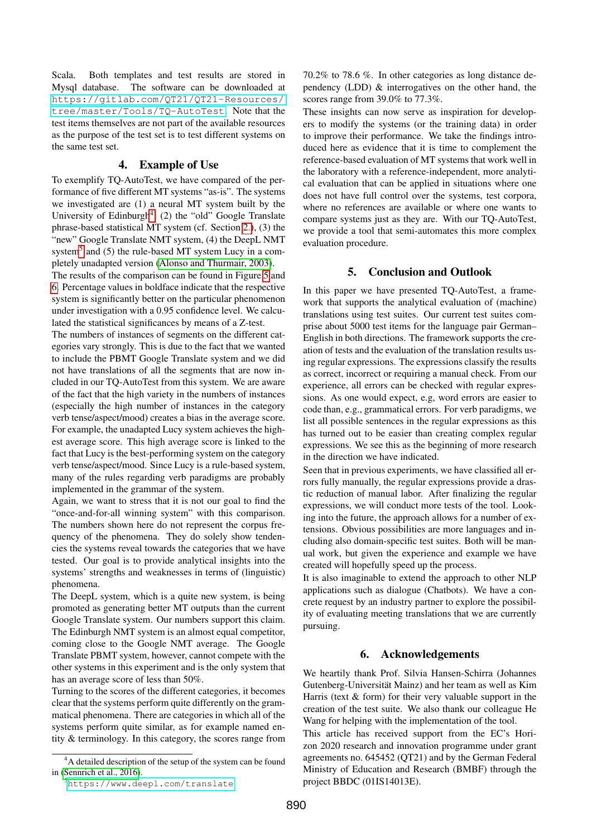Scala. Both templates and test results are stored in Mysql database. The software can be downloaded at [https://gitlab.com/QT21/QT21-Resources/](https://gitlab.com/QT21/QT21-Resources/tree/master/Tools/TQ-AutoTest) [tree/master/Tools/TQ-AutoTest](https://gitlab.com/QT21/QT21-Resources/tree/master/Tools/TQ-AutoTest). Note that the test items themselves are not part of the available resources as the purpose of the test set is to test different systems on the same test set.

#### 4. Example of Use

<span id="page-4-0"></span>To exemplify TQ-AutoTest, we have compared of the performance of five different MT systems "as-is". The systems we investigated are (1) a neural MT system built by the University of Edinburgh<sup>[4](#page-4-2)</sup>,  $(2)$  the "old" Google Translate phrase-based statistical MT system (cf. Section [2.\)](#page-0-0), (3) the "new" Google Translate NMT system, (4) the DeepL NMT system<sup>[5](#page-4-3)</sup> and (5) the rule-based MT system Lucy in a completely unadapted version [\(Alonso and Thurmair, 2003\)](#page-5-4).

The results of the comparison can be found in Figure [5](#page-5-5) and [6.](#page-5-6) Percentage values in boldface indicate that the respective system is significantly better on the particular phenomenon under investigation with a 0.95 confidence level. We calculated the statistical significances by means of a Z-test.

The numbers of instances of segments on the different categories vary strongly. This is due to the fact that we wanted to include the PBMT Google Translate system and we did not have translations of all the segments that are now included in our TQ-AutoTest from this system. We are aware of the fact that the high variety in the numbers of instances (especially the high number of instances in the category verb tense/aspect/mood) creates a bias in the average score. For example, the unadapted Lucy system achieves the highest average score. This high average score is linked to the fact that Lucy is the best-performing system on the category verb tense/aspect/mood. Since Lucy is a rule-based system, many of the rules regarding verb paradigms are probably implemented in the grammar of the system.

Again, we want to stress that it is not our goal to find the "once-and-for-all winning system" with this comparison. The numbers shown here do not represent the corpus frequency of the phenomena. They do solely show tendencies the systems reveal towards the categories that we have tested. Our goal is to provide analytical insights into the systems' strengths and weaknesses in terms of (linguistic) phenomena.

The DeepL system, which is a quite new system, is being promoted as generating better MT outputs than the current Google Translate system. Our numbers support this claim. The Edinburgh NMT system is an almost equal competitor, coming close to the Google NMT average. The Google Translate PBMT system, however, cannot compete with the other systems in this experiment and is the only system that has an average score of less than 50%.

Turning to the scores of the different categories, it becomes clear that the systems perform quite differently on the grammatical phenomena. There are categories in which all of the systems perform quite similar, as for example named entity & terminology. In this category, the scores range from 70.2% to 78.6 %. In other categories as long distance dependency (LDD) & interrogatives on the other hand, the scores range from 39.0% to 77.3%.

These insights can now serve as inspiration for developers to modify the systems (or the training data) in order to improve their performance. We take the findings introduced here as evidence that it is time to complement the reference-based evaluation of MT systems that work well in the laboratory with a reference-independent, more analytical evaluation that can be applied in situations where one does not have full control over the systems, test corpora, where no references are available or where one wants to compare systems just as they are. With our TQ-AutoTest, we provide a tool that semi-automates this more complex evaluation procedure.

# 5. Conclusion and Outlook

<span id="page-4-1"></span>In this paper we have presented TQ-AutoTest, a framework that supports the analytical evaluation of (machine) translations using test suites. Our current test suites comprise about 5000 test items for the language pair German– English in both directions. The framework supports the creation of tests and the evaluation of the translation results using regular expressions. The expressions classify the results as correct, incorrect or requiring a manual check. From our experience, all errors can be checked with regular expressions. As one would expect, e.g, word errors are easier to code than, e.g., grammatical errors. For verb paradigms, we list all possible sentences in the regular expressions as this has turned out to be easier than creating complex regular expressions. We see this as the beginning of more research in the direction we have indicated.

Seen that in previous experiments, we have classified all errors fully manually, the regular expressions provide a drastic reduction of manual labor. After finalizing the regular expressions, we will conduct more tests of the tool. Looking into the future, the approach allows for a number of extensions. Obvious possibilities are more languages and including also domain-specific test suites. Both will be manual work, but given the experience and example we have created will hopefully speed up the process.

It is also imaginable to extend the approach to other NLP applications such as dialogue (Chatbots). We have a concrete request by an industry partner to explore the possibility of evaluating meeting translations that we are currently pursuing.

#### 6. Acknowledgements

We heartily thank Prof. Silvia Hansen-Schirra (Johannes Gutenberg-Universität Mainz) and her team as well as Kim Harris (text  $&$  form) for their very valuable support in the creation of the test suite. We also thank our colleague He Wang for helping with the implementation of the tool.

This article has received support from the EC's Horizon 2020 research and innovation programme under grant agreements no. 645452 (QT21) and by the German Federal Ministry of Education and Research (BMBF) through the project BBDC (01IS14013E).

<span id="page-4-2"></span> $A<sup>4</sup>A$  detailed description of the setup of the system can be found in [\(Sennrich et al., 2016\)](#page-6-8).

<span id="page-4-3"></span><sup>5</sup><https://www.deepl.com/translate>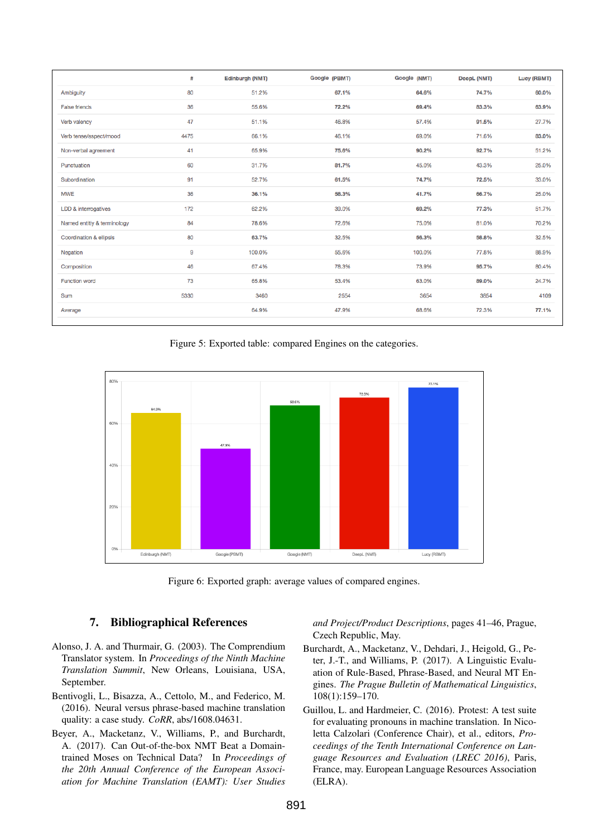|                                    | #    | Edinburgh (NMT) | Google (PBMT) | Google (NMT) | DeepL (NMT) | Lucy (RBMT) |
|------------------------------------|------|-----------------|---------------|--------------|-------------|-------------|
| Ambiguity                          | 80   | 51.2%           | 67.1%         | 64.6%        | 74.7%       | 60.0%       |
| <b>False friends</b>               | 36   | 55.6%           | 72.2%         | 69.4%        | 83.3%       | 63.9%       |
| Verb valency                       | 47   | 51.1%           | 46.8%         | 57.4%        | 91.5%       | 27.7%       |
| Verb tense/aspect/mood             | 4475 | 66.1%           | 46.1%         | 69.0%        | 71.6%       | 83.0%       |
| Non-verbal agreement               | 41   | 65.9%           | 75.6%         | 90.2%        | 92.7%       | 51.2%       |
| Punctuation                        | 60   | 31.7%           | 81.7%         | 45.0%        | 43.3%       | 25.0%       |
| Subordination                      | 91   | 52.7%           | 61.5%         | 74.7%        | 72.5%       | 33.0%       |
| <b>MWE</b>                         | 36   | 36.1%           | 58.3%         | 41.7%        | 66.7%       | 25.0%       |
| LDD & interrogatives               | 172  | 62.2%           | 39.0%         | 69.2%        | 77.3%       | 51.7%       |
| Named entitiy & terminology        | 84   | 78.6%           | 72.6%         | 75.0%        | 81.0%       | 70.2%       |
| <b>Coordination &amp; ellipsis</b> | 80   | 63.7%           | 32.5%         | 56.3%        | 58.8%       | 32.5%       |
| Negation                           | 9    | 100.0%          | 55.6%         | 100.0%       | 77.8%       | 88.9%       |
| Composition                        | 46   | 67.4%           | 78.3%         | 73.9%        | 95.7%       | 80.4%       |
| <b>Function word</b>               | 73   | 65.8%           | 53.4%         | 63.0%        | 89.0%       | 24.7%       |
| Sum                                | 5330 | 3460            | 2554          | 3654         | 3854        | 4109        |
| Average                            |      | 64.9%           | 47.9%         | 68.6%        | 72.3%       | 77.1%       |
|                                    |      |                 |               |              |             |             |

<span id="page-5-5"></span>Figure 5: Exported table: compared Engines on the categories.



<span id="page-5-6"></span>Figure 6: Exported graph: average values of compared engines.

# 7. Bibliographical References

- <span id="page-5-4"></span>Alonso, J. A. and Thurmair, G. (2003). The Comprendium Translator system. In *Proceedings of the Ninth Machine Translation Summit*, New Orleans, Louisiana, USA, September.
- <span id="page-5-1"></span>Bentivogli, L., Bisazza, A., Cettolo, M., and Federico, M. (2016). Neural versus phrase-based machine translation quality: a case study. *CoRR*, abs/1608.04631.
- <span id="page-5-3"></span>Beyer, A., Macketanz, V., Williams, P., and Burchardt, A. (2017). Can Out-of-the-box NMT Beat a Domaintrained Moses on Technical Data? In *Proceedings of the 20th Annual Conference of the European Association for Machine Translation (EAMT): User Studies*

*and Project/Product Descriptions*, pages 41–46, Prague, Czech Republic, May.

- <span id="page-5-2"></span>Burchardt, A., Macketanz, V., Dehdari, J., Heigold, G., Peter, J.-T., and Williams, P. (2017). A Linguistic Evaluation of Rule-Based, Phrase-Based, and Neural MT Engines. *The Prague Bulletin of Mathematical Linguistics*, 108(1):159–170.
- <span id="page-5-0"></span>Guillou, L. and Hardmeier, C. (2016). Protest: A test suite for evaluating pronouns in machine translation. In Nicoletta Calzolari (Conference Chair), et al., editors, *Proceedings of the Tenth International Conference on Language Resources and Evaluation (LREC 2016)*, Paris, France, may. European Language Resources Association (ELRA).